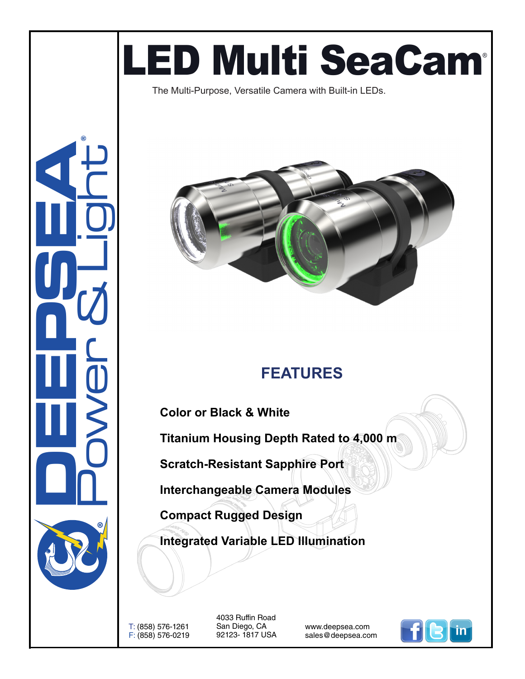# LED Multi SeaCam®

The Multi-Purpose, Versatile Camera with Built-in LEDs.



### **FEATURES**

**Color or Black & White**

**Titanium Housing Depth Rated to 4,000 m**

**Scratch-Resistant Sapphire Port**

**Interchangeable Camera Modules**

**Compact Rugged Design**

**Integrated Variable LED Illumination**

T: (858) 576-1261 F: (858) 576-0219

**DEEPSEA** 

Power & Light

®

4033 Ruffin Road San Diego, CA 92123- 1817 USA

www.deepsea.com sales@deepsea.com